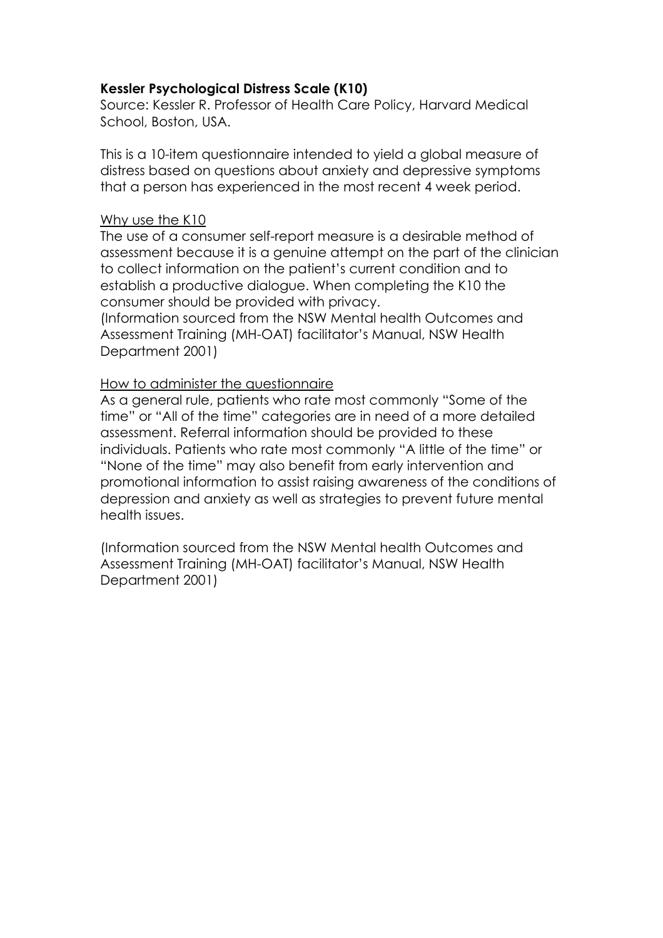# **Kessler Psychological Distress Scale (K10)**

Source: Kessler R. Professor of Health Care Policy, Harvard Medical School, Boston, USA.

This is a 10-item questionnaire intended to yield a global measure of distress based on questions about anxiety and depressive symptoms that a person has experienced in the most recent 4 week period.

## Why use the K10

The use of a consumer self-report measure is a desirable method of assessment because it is a genuine attempt on the part of the clinician to collect information on the patient's current condition and to establish a productive dialogue. When completing the K10 the consumer should be provided with privacy.

(Information sourced from the NSW Mental health Outcomes and Assessment Training (MH-OAT) facilitator's Manual, NSW Health Department 2001)

## How to administer the questionnaire

As a general rule, patients who rate most commonly "Some of the time" or "All of the time" categories are in need of a more detailed assessment. Referral information should be provided to these individuals. Patients who rate most commonly "A little of the time" or "None of the time" may also benefit from early intervention and promotional information to assist raising awareness of the conditions of depression and anxiety as well as strategies to prevent future mental health issues.

(Information sourced from the NSW Mental health Outcomes and Assessment Training (MH-OAT) facilitator's Manual, NSW Health Department 2001)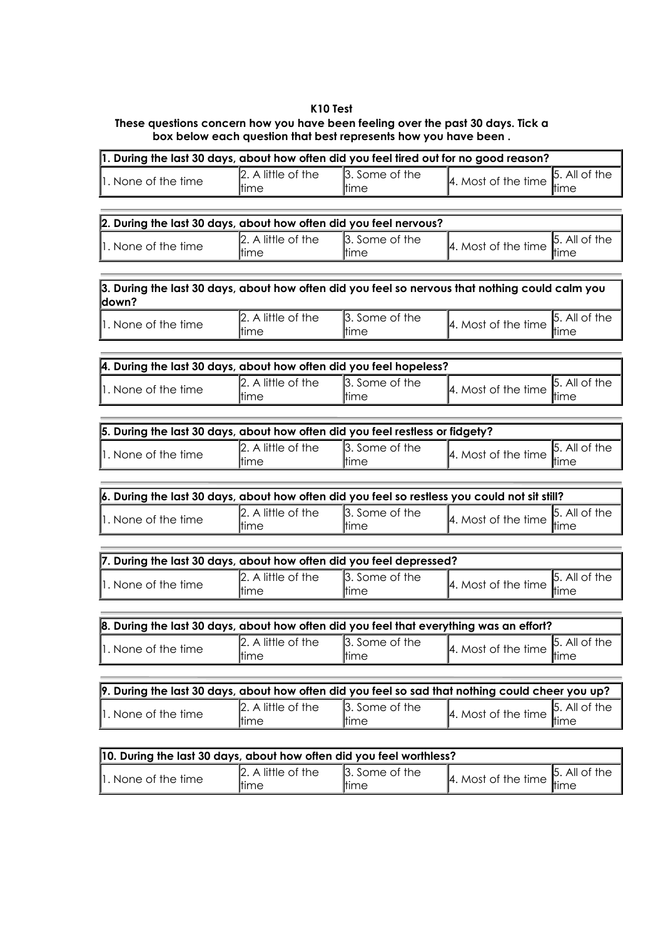#### **K10 Test**

### **These questions concern how you have been feeling over the past 30 days. Tick a box below each question that best represents how you have been .**

| 1. During the last 30 days, about how often did you feel tired out for no good reason? |                                     |                         |                                                                                                 |                       |  |
|----------------------------------------------------------------------------------------|-------------------------------------|-------------------------|-------------------------------------------------------------------------------------------------|-----------------------|--|
| $\mathsf{I}$ . None of the time                                                        | $\vert$ 2. A little of the<br>ltime | 3. Some of the<br>ltime | 4. Most of the time $\left  \begin{array}{c} 5. \text{ All} \\ \text{time} \end{array} \right $ | $\vert$ 5. All of the |  |

| 2. During the last 30 days, about how often did you feel nervous? |                                         |                                |                                                   |                       |  |
|-------------------------------------------------------------------|-----------------------------------------|--------------------------------|---------------------------------------------------|-----------------------|--|
| $\mathsf{I}$ . None of the time                                   | $\mathbb{Z}$ . A little of the<br>ltime | 3. Some of the<br><b>ttime</b> | 4. Most of the time $\Big _{\text{time}}^{5. A.}$ | $\vert$ 5. All of the |  |

| $\beta$ . During the last 30 days, about how often did you feel so nervous that nothing could calm you<br>ldown? |                            |                                                                                            |  |
|------------------------------------------------------------------------------------------------------------------|----------------------------|--------------------------------------------------------------------------------------------|--|
|                                                                                                                  | $\mathbb{R}$ a rill of the | $\mathbf{b}$ $\mathbf{c}$ $\mathbf{c}$ $\mathbf{c}$ $\mathbf{c}$ $\mathbf{c}$ $\mathbf{c}$ |  |

| 1. None of the time | ltıme                              | ltıme                       | 4. Most of the time $\mathbb{C}$ | 'tıme               |
|---------------------|------------------------------------|-----------------------------|----------------------------------|---------------------|
|                     | $\overline{\lambda}$ little of the | $\mathbf{E}$<br>Some of the |                                  | All of the<br>15. . |

| 4. During the last 30 days, about how often did you feel hopeless? |                                        |                                 |                                                     |                       |  |
|--------------------------------------------------------------------|----------------------------------------|---------------------------------|-----------------------------------------------------|-----------------------|--|
| $\parallel$ . None of the time                                     | $\mathbb{Z}$ . A little of the<br>tıme | 3. Some of the<br><b>l</b> time | $\frac{1}{4}$ . Most of the time $\frac{1}{4}$ time | $\vert$ 5. All of the |  |

| 5. During the last 30 days, about how often did you feel restless or fidgety? |                                             |                                |                                                                                                            |  |  |
|-------------------------------------------------------------------------------|---------------------------------------------|--------------------------------|------------------------------------------------------------------------------------------------------------|--|--|
| $\parallel$ . None of the time                                                | $\vert$ 2. A little of the<br><b>t</b> time | 3. Some of the<br><b>ttime</b> | $\vert$ 5. All of the<br>$\overline{a}$ $\overline{a}$ $\overline{a}$ Most of the time $\overline{a}$ time |  |  |

| 6. During the last 30 days, about how often did you feel so restless you could not sit still? |                                |                |                                         |  |  |
|-----------------------------------------------------------------------------------------------|--------------------------------|----------------|-----------------------------------------|--|--|
| $\parallel$ . None of the time                                                                | $\mathbb{Z}$ . A little of the | 3. Some of the | $ 5.$ All of the                        |  |  |
|                                                                                               | ltime                          | ltime          | 4. Most of the time $\Big ^{5. A}$ time |  |  |

| 7. During the last 30 days, about how often did you feel depressed? |                                |                |                                                        |  |  |
|---------------------------------------------------------------------|--------------------------------|----------------|--------------------------------------------------------|--|--|
| $\parallel$ . None of the time                                      | $\mathbb{Z}$ . A little of the | 3. Some of the | $\vert$ 5. All of the                                  |  |  |
|                                                                     | ltime                          | ltime          | 4. Most of the time $\int_{\text{time}}^{\text{D. A}}$ |  |  |

| 8. During the last 30 days, about how often did you feel that everything was an effort? |                                     |                                |                                                          |  |  |
|-----------------------------------------------------------------------------------------|-------------------------------------|--------------------------------|----------------------------------------------------------|--|--|
| 1. None of the time                                                                     | $\vert$ 2. A little of the<br>ltime | 3. Some of the<br><b>ttime</b> | 4. Most of the time $\frac{5}{\text{time}}$ . All of the |  |  |

| 9. During the last 30 days, about how often did you feel so sad that nothing could cheer you up? |                                         |                                |                                                                                           |  |  |
|--------------------------------------------------------------------------------------------------|-----------------------------------------|--------------------------------|-------------------------------------------------------------------------------------------|--|--|
| $\parallel$ . None of the time                                                                   | $\mathbb{Z}$ . A little of the<br>ltime | 3. Some of the<br><b>ttime</b> | 4. Most of the time $\begin{bmatrix} 5. & \text{All of the} \\ \text{time} \end{bmatrix}$ |  |  |

| 10. During the last 30 days, about how often did you feel worthless? |                                |                |                                                                          |  |  |
|----------------------------------------------------------------------|--------------------------------|----------------|--------------------------------------------------------------------------|--|--|
| $\parallel$ . None of the time                                       | $\mathbb{Z}$ . A little of the | 3. Some of the | $\vert$ 5. All of the<br>4. Most of the time $\Big _{\text{time}}^{5.7}$ |  |  |
|                                                                      | ltime                          | <b>Itime</b>   |                                                                          |  |  |